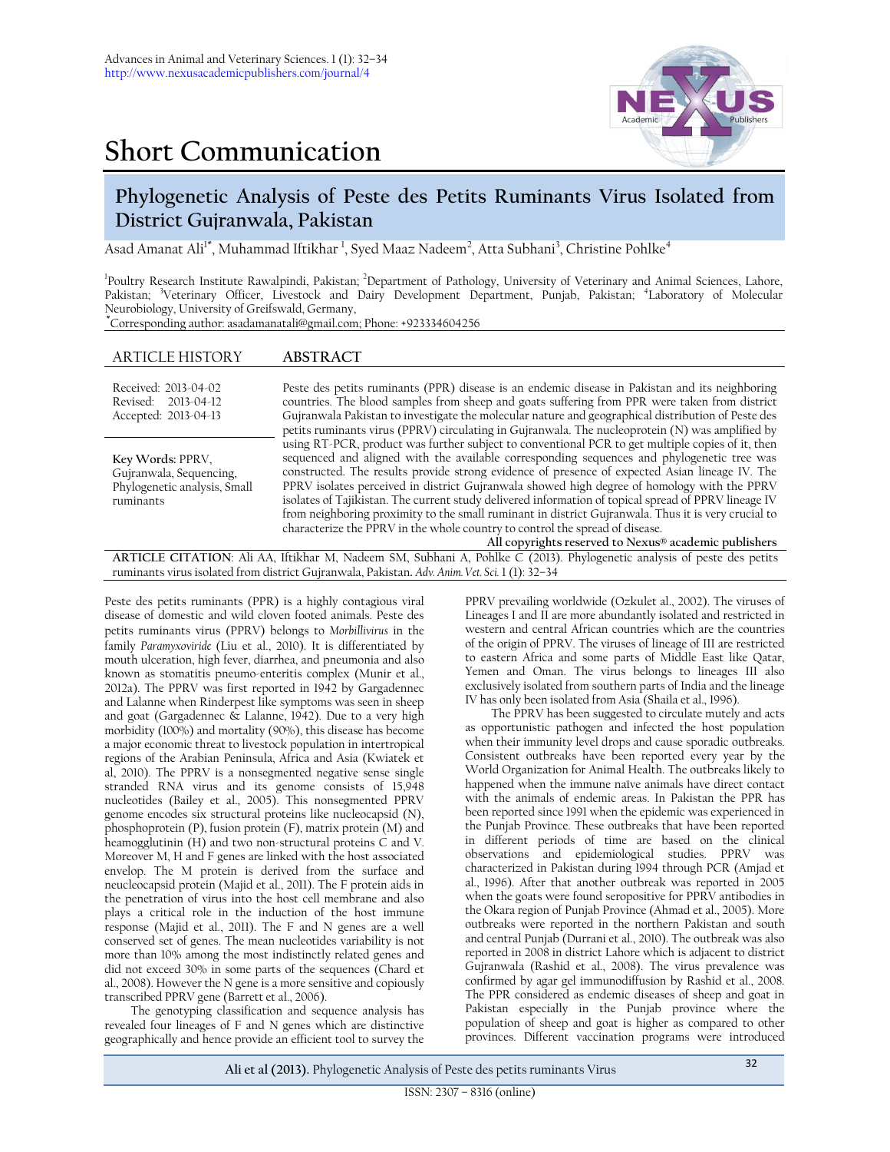



## **Phylogenetic Analysis of Peste des Petits Ruminants Virus Isolated from District Gujranwala, Pakistan**

Asad Amanat Ali $^{\rm l*}$ , Muhammad Iftikhar  $^{\rm l}$ , Syed Maaz Nadeem $^{\rm 2}$ , Atta Subhani $^{\rm 3}$ , Christine Pohlke $^{\rm 4}$ 

<sup>1</sup>Poultry Research Institute Rawalpindi, Pakistan; <sup>2</sup>Department of Pathology, University of Veterinary and Animal Sciences, Lahore, Pakistan; <sup>3</sup>Veterinary Officer, Livestock and Dairy Development Department, Punjab, Pakistan; <sup>4</sup>Laboratory of Molecular Neurobiology, University of Greifswald, Germany,

**\***Corresponding author: asadamanatali@gmail.com; Phone: +923334604256

## ARTICLE HISTORY **ABSTRACT**

| Received: 2013-04-02<br>Revised: 2013-04-12<br>Accepted: 2013-04-13                      | Peste des petits ruminants (PPR) disease is an endemic disease in Pakistan and its neighboring<br>countries. The blood samples from sheep and goats suffering from PPR were taken from district<br>Gujranwala Pakistan to investigate the molecular nature and geographical distribution of Peste des<br>petits ruminants virus (PPRV) circulating in Gujranwala. The nucleoprotein (N) was amplified by                                                                                                                                                                                                                                                                                                                                                |
|------------------------------------------------------------------------------------------|---------------------------------------------------------------------------------------------------------------------------------------------------------------------------------------------------------------------------------------------------------------------------------------------------------------------------------------------------------------------------------------------------------------------------------------------------------------------------------------------------------------------------------------------------------------------------------------------------------------------------------------------------------------------------------------------------------------------------------------------------------|
| Key Words: PPRV,<br>Gujranwala, Sequencing,<br>Phylogenetic analysis, Small<br>ruminants | using RT-PCR, product was further subject to conventional PCR to get multiple copies of it, then<br>sequenced and aligned with the available corresponding sequences and phylogenetic tree was<br>constructed. The results provide strong evidence of presence of expected Asian lineage IV. The<br>PPRV isolates perceived in district Gujranwala showed high degree of homology with the PPRV<br>isolates of Tajikistan. The current study delivered information of topical spread of PPRV lineage IV<br>from neighboring proximity to the small ruminant in district Gujranwala. Thus it is very crucial to<br>characterize the PPRV in the whole country to control the spread of disease.<br>All copyrights reserved to Nexus® academic publishers |

**ARTICLE CITATION**: Ali AA, Iftikhar M, Nadeem SM, Subhani A, Pohlke C (2013). Phylogenetic analysis of peste des petits ruminants virus isolated from district Gujranwala, Pakistan**.** *Adv. Anim. Vet. Sci.* 1 (1): 32–34

Peste des petits ruminants (PPR) is a highly contagious viral disease of domestic and wild cloven footed animals. Peste des petits ruminants virus (PPRV) belongs to *Morbillivirus* in the family *Paramyxoviride* (Liu et al., 2010). It is differentiated by mouth ulceration, high fever, diarrhea, and pneumonia and also known as stomatitis pneumo-enteritis complex (Munir et al., 2012a). The PPRV was first reported in 1942 by Gargadennec and Lalanne when Rinderpest like symptoms was seen in sheep and goat (Gargadennec & Lalanne, 1942). Due to a very high morbidity (100%) and mortality (90%), this disease has become a major economic threat to livestock population in intertropical regions of the Arabian Peninsula, Africa and Asia (Kwiatek et al, 2010). The PPRV is a nonsegmented negative sense single stranded RNA virus and its genome consists of 15,948 nucleotides (Bailey et al., 2005). This nonsegmented PPRV genome encodes six structural proteins like nucleocapsid (N), phosphoprotein (P), fusion protein (F), matrix protein (M) and heamogglutinin (H) and two non-structural proteins C and V. Moreover M, H and F genes are linked with the host associated envelop. The M protein is derived from the surface and neucleocapsid protein (Majid et al., 2011). The F protein aids in the penetration of virus into the host cell membrane and also plays a critical role in the induction of the host immune response (Majid et al., 2011). The F and N genes are a well conserved set of genes. The mean nucleotides variability is not more than 10% among the most indistinctly related genes and did not exceed 30% in some parts of the sequences (Chard et al., 2008). However the N gene is a more sensitive and copiously transcribed PPRV gene (Barrett et al., 2006).

The genotyping classification and sequence analysis has revealed four lineages of F and N genes which are distinctive geographically and hence provide an efficient tool to survey the

PPRV prevailing worldwide (Ozkulet al., 2002). The viruses of Lineages I and II are more abundantly isolated and restricted in western and central African countries which are the countries of the origin of PPRV. The viruses of lineage of III are restricted to eastern Africa and some parts of Middle East like Qatar, Yemen and Oman. The virus belongs to lineages III also exclusively isolated from southern parts of India and the lineage IV has only been isolated from Asia (Shaila et al., 1996).

The PPRV has been suggested to circulate mutely and acts as opportunistic pathogen and infected the host population when their immunity level drops and cause sporadic outbreaks. Consistent outbreaks have been reported every year by the World Organization for Animal Health. The outbreaks likely to happened when the immune naïve animals have direct contact with the animals of endemic areas. In Pakistan the PPR has been reported since 1991 when the epidemic was experienced in the Punjab Province. These outbreaks that have been reported in different periods of time are based on the clinical observations and epidemiological studies. PPRV was characterized in Pakistan during 1994 through PCR (Amjad et al., 1996). After that another outbreak was reported in 2005 when the goats were found seropositive for PPRV antibodies in the Okara region of Punjab Province (Ahmad et al., 2005). More outbreaks were reported in the northern Pakistan and south and central Punjab (Durrani et al., 2010). The outbreak was also reported in 2008 in district Lahore which is adjacent to district Gujranwala (Rashid et al., 2008). The virus prevalence was confirmed by agar gel immunodiffusion by Rashid et al., 2008. The PPR considered as endemic diseases of sheep and goat in Pakistan especially in the Punjab province where the population of sheep and goat is higher as compared to other provinces. Different vaccination programs were introduced

**Ali et al (2013).** Phylogenetic Analysis of Peste des petits ruminants Virus <sup>32</sup>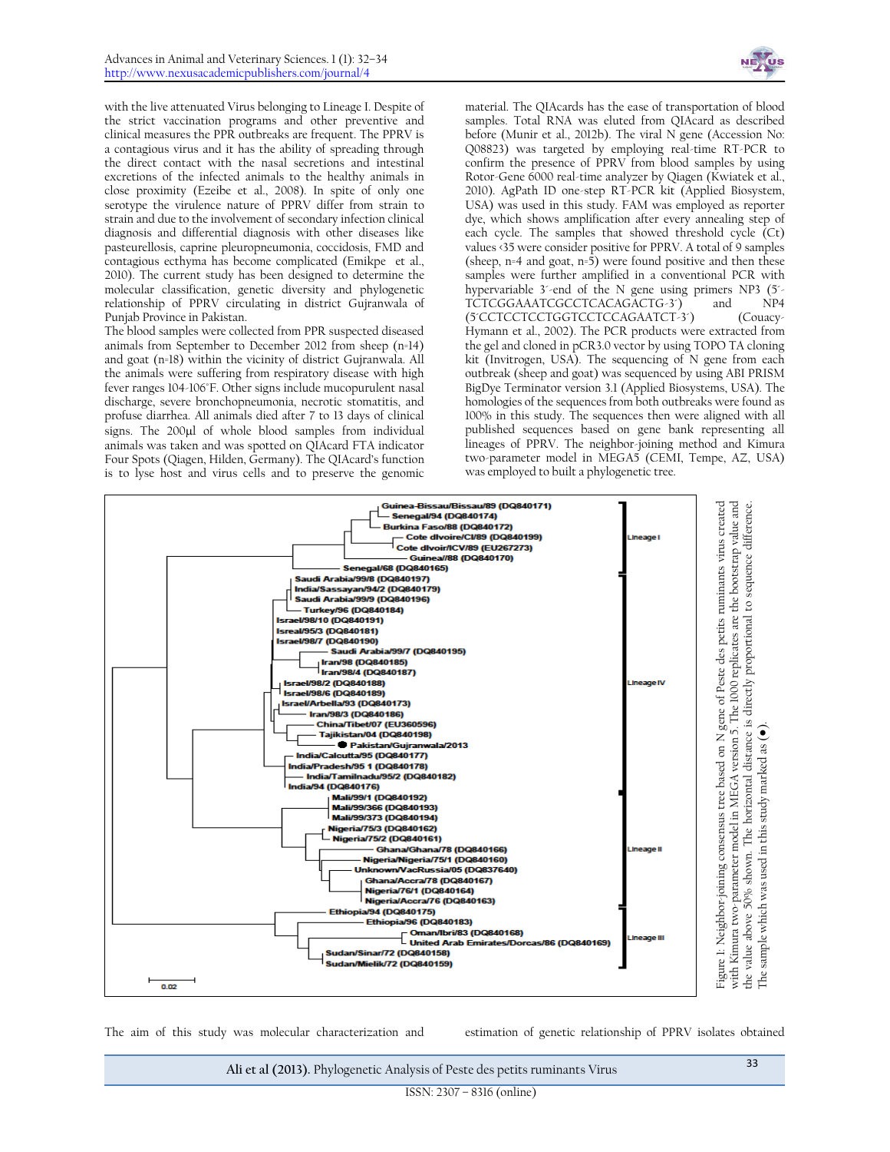

with the live attenuated Virus belonging to Lineage I. Despite of the strict vaccination programs and other preventive and clinical measures the PPR outbreaks are frequent. The PPRV is a contagious virus and it has the ability of spreading through the direct contact with the nasal secretions and intestinal excretions of the infected animals to the healthy animals in close proximity (Ezeibe et al., 2008). In spite of only one serotype the virulence nature of PPRV differ from strain to strain and due to the involvement of secondary infection clinical diagnosis and differential diagnosis with other diseases like pasteurellosis, caprine pleuropneumonia, coccidosis, FMD and contagious ecthyma has become complicated (Emikpe et al., 2010). The current study has been designed to determine the molecular classification, genetic diversity and phylogenetic relationship of PPRV circulating in district Gujranwala of Punjab Province in Pakistan.

The blood samples were collected from PPR suspected diseased animals from September to December 2012 from sheep (n=14) and goat (n=18) within the vicinity of district Gujranwala. All the animals were suffering from respiratory disease with high fever ranges 104-106°F. Other signs include mucopurulent nasal discharge, severe bronchopneumonia, necrotic stomatitis, and profuse diarrhea. All animals died after 7 to 13 days of clinical signs. The 200µl of whole blood samples from individual animals was taken and was spotted on QIAcard FTA indicator Four Spots (Qiagen, Hilden, Germany). The QIAcard's function is to lyse host and virus cells and to preserve the genomic

material. The QIAcards has the ease of transportation of blood samples. Total RNA was eluted from QIAcard as described before (Munir et al., 2012b). The viral N gene (Accession No: Q08823) was targeted by employing real-time RT-PCR to confirm the presence of PPRV from blood samples by using Rotor-Gene 6000 real-time analyzer by Qiagen (Kwiatek et al., 2010). AgPath ID one-step RT-PCR kit (Applied Biosystem, USA) was used in this study. FAM was employed as reporter dye, which shows amplification after every annealing step of each cycle. The samples that showed threshold cycle (Ct) values <35 were consider positive for PPRV. A total of 9 samples (sheep,  $n=4$  and goat,  $n=5$ ) were found positive and then these samples were further amplified in a conventional PCR with hypervariable 3'-end of the N gene using primers NP3 (5'-TCTCGGAAATCGCCTCACAGACTG-3<sup>\*</sup>) and NP4 (5´CCTCCTCCTGGTCCTCCAGAATCT-3´) (Couacy-Hymann et al., 2002). The PCR products were extracted from the gel and cloned in pCR3.0 vector by using TOPO TA cloning kit (Invitrogen, USA). The sequencing of N gene from each outbreak (sheep and goat) was sequenced by using ABI PRISM BigDye Terminator version 3.1 (Applied Biosystems, USA). The homologies of the sequences from both outbreaks were found as 100% in this study. The sequences then were aligned with all published sequences based on gene bank representing all lineages of PPRV. The neighbor-joining method and Kimura two-parameter model in MEGA5 (CEMI, Tempe, AZ, USA) was employed to built a phylogenetic tree.



**Ali et al (2013).** Phylogenetic Analysis of Peste des petits ruminants Virus <sup>33</sup>